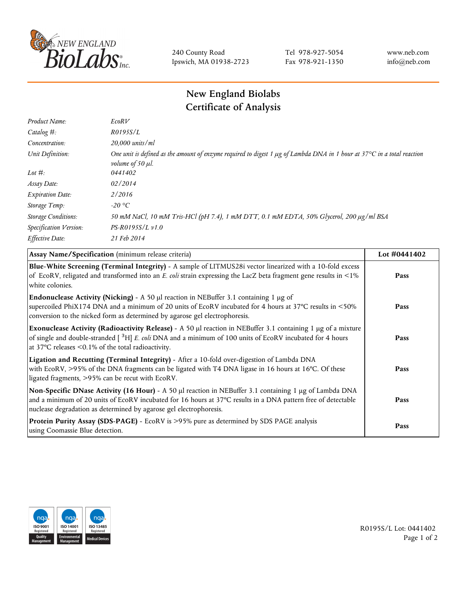

240 County Road Ipswich, MA 01938-2723 Tel 978-927-5054 Fax 978-921-1350 www.neb.com info@neb.com

## **New England Biolabs Certificate of Analysis**

| Product Name:              | EcoRV                                                                                                                                                                            |
|----------------------------|----------------------------------------------------------------------------------------------------------------------------------------------------------------------------------|
| Catalog $#$ :              | R0195S/L                                                                                                                                                                         |
| Concentration:             | 20,000 units/ml                                                                                                                                                                  |
| Unit Definition:           | One unit is defined as the amount of enzyme required to digest 1 $\mu$ g of Lambda DNA in 1 hour at 37 $\degree$ C in a total reaction<br><i>volume of 50 <math>\mu</math>l.</i> |
| Lot $#$ :                  | 0441402                                                                                                                                                                          |
| Assay Date:                | 02/2014                                                                                                                                                                          |
| <b>Expiration Date:</b>    | 2/2016                                                                                                                                                                           |
| Storage Temp:              | $-20$ °C                                                                                                                                                                         |
| <b>Storage Conditions:</b> | 50 mM NaCl, 10 mM Tris-HCl (pH 7.4), 1 mM DTT, 0.1 mM EDTA, 50% Glycerol, 200 µg/ml BSA                                                                                          |
| Specification Version:     | $PS-R0195S/L \nu 1.0$                                                                                                                                                            |
| Effective Date:            | 21 Feb 2014                                                                                                                                                                      |
|                            |                                                                                                                                                                                  |

| Assay Name/Specification (minimum release criteria)                                                                                                                                                                                                                                             | Lot #0441402 |
|-------------------------------------------------------------------------------------------------------------------------------------------------------------------------------------------------------------------------------------------------------------------------------------------------|--------------|
| Blue-White Screening (Terminal Integrity) - A sample of LITMUS28i vector linearized with a 10-fold excess<br>of EcoRV, religated and transformed into an E. coli strain expressing the LacZ beta fragment gene results in <1%<br>white colonies.                                                | Pass         |
| Endonuclease Activity (Nicking) - A 50 µl reaction in NEBuffer 3.1 containing 1 µg of<br>supercoiled PhiX174 DNA and a minimum of 20 units of EcoRV incubated for 4 hours at 37°C results in <50%<br>conversion to the nicked form as determined by agarose gel electrophoresis.                | Pass         |
| Exonuclease Activity (Radioactivity Release) - A 50 µl reaction in NEBuffer 3.1 containing 1 µg of a mixture<br>of single and double-stranded $\int^3 H$ E. coli DNA and a minimum of 100 units of EcoRV incubated for 4 hours<br>at 37 $\degree$ C releases < 0.1% of the total radioactivity. | Pass         |
| Ligation and Recutting (Terminal Integrity) - After a 10-fold over-digestion of Lambda DNA<br>with EcoRV, >95% of the DNA fragments can be ligated with T4 DNA ligase in 16 hours at 16°C. Of these<br>ligated fragments, >95% can be recut with EcoRV.                                         | Pass         |
| Non-Specific DNase Activity (16 Hour) - A 50 µl reaction in NEBuffer 3.1 containing 1 µg of Lambda DNA<br>and a minimum of 20 units of EcoRV incubated for 16 hours at 37°C results in a DNA pattern free of detectable<br>nuclease degradation as determined by agarose gel electrophoresis.   | Pass         |
| Protein Purity Assay (SDS-PAGE) - EcoRV is >95% pure as determined by SDS PAGE analysis<br>using Coomassie Blue detection.                                                                                                                                                                      | Pass         |



R0195S/L Lot: 0441402 Page 1 of 2